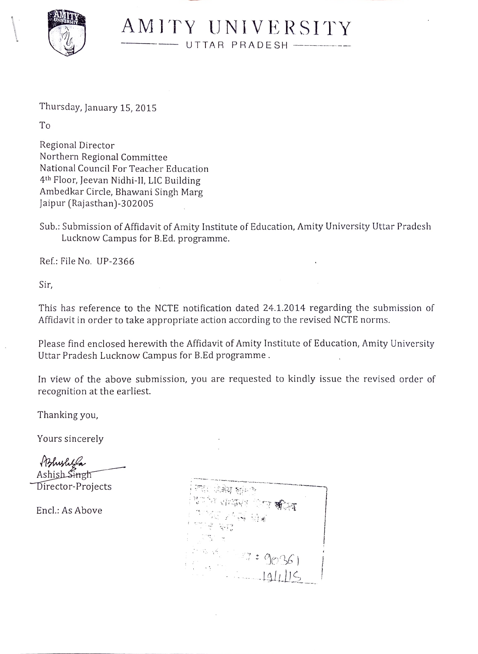

AMITY UNIVERSITY UTTAR PRADESH

Thursday, January 15, 2015

To

Regional Director Northern Regional Committee National Council For Teacher Education 4th Floor, Jeevan Nidhi-11, LIC Building Ambedkar Circle, Bhawani Singh Marg Jaipur (Rajasthan)-302005

Sub.: Submission of Affidavit of Amity Institute of Education, Amity University Uttar Pradesh Lucknow Campus for B.Ed. programme.

Ref.: File No. UP-2366

Sir,

This has reference to the NCTE notification dated 24.1.2014 regarding the submission of Affidavit in order to take appropriate action according to the revised NCTE norms.

Please find enclosed herewith the Affidavit of Amity Institute of Education, Amity University Uttar Pradesh Lucknow Campus for B.Ed programme.

In view of the above submission, you are requested to kindly issue the revised order of recognition at the earliest.

Thanking you,

Yours sincerely

Bhushta Ashish Singh

 $\widehat{\mathrm{Director}}$ -Projects

Encl.: As Above

 $: \mathbb{R} \times \mathbb{R}$ : 9036)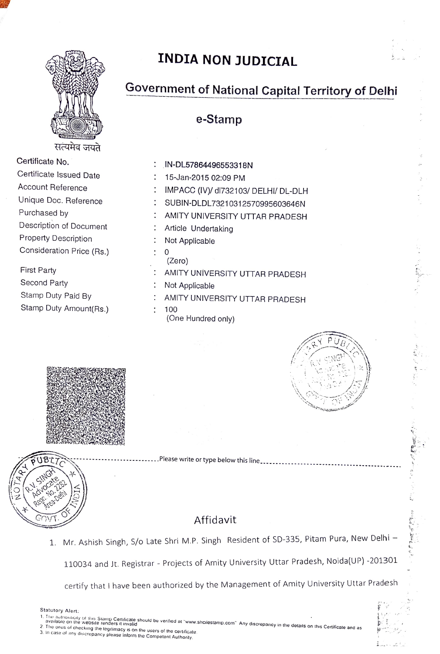

## INDIA NON JUDICIAL

## Government of National Capital Territory of Delhi

e-Stamp

| Certificate No.             | : IN-DL57864496553    |
|-----------------------------|-----------------------|
| Certificate Issued Date     | 15-Jan-2015 02:09     |
| Account Reference           | IMPACC (IV)/ dl732    |
| Unique Doc. Reference       | SUBIN-DLDL73210       |
| Purchased by                | AMITY UNIVERSIT       |
| Description of Document     | : Article Undertaking |
| <b>Property Description</b> | Not Applicable        |
| Consideration Price (Rs.)   |                       |
|                             |                       |

| Certificate No.             | IN-DL57864496553318N                 |
|-----------------------------|--------------------------------------|
| Certificate Issued Date     | 15-Jan-2015 02:09 PM                 |
| Account Reference           | IMPACC (IV)/ dl732103/ DELHI/ DL-DLH |
| Unique Doc. Reference       | SUBIN-DLDL73210312570995603646N      |
| Purchased by                | AMITY UNIVERSITY UTTAR PRADESH       |
| Description of Document     | Article Undertaking                  |
| <b>Property Description</b> | Not Applicable                       |
| Consideration Price (Rs.)   | 0<br>(Zero)                          |
| <b>First Party</b>          | AMITY UNIVERSITY UTTAR PRADESH       |
| Second Party                | Not Applicable                       |
| Stamp Duty Paid By          | AMITY UNIVERSITY UTTAR PRADESH       |
| Stamp Duty Amount(Rs.)      | 100<br>(One Hundred only)            |



 $\frac{5}{9}$ 







. Please write or type below this line.........................

## Affidavit

1. Mr. Ashish Singh, S/o Late Shri M.P. Singh Resident of SD-335, Pitam Pura, New Delhi -

110034 and Jt. Registrar - Projects of Amity University Uttar Pradesh, Noida(UP) -201301

certify that I have been authorized by the Management of Amity University Uttar Pradesh

- Statutory Alert:<br>1. The autnorition of this Stamp Certificate should be verified at "www.shcilestamp.com". Any discrepancy in the details on this Certificate and as<br>- available on the website renders it invalid<br>2. The onus
- available on the website renders it invalid<br>2. The onus of checking the legitimacy is on the users of the certificate.<br>3. In case of any discrepancy please inform the Competent Authority.